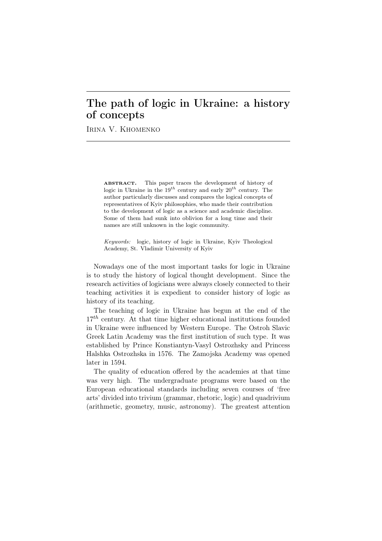## The path of logic in Ukraine: a history of concepts

Irina V. Khomenko

abstract. This paper traces the development of history of logic in Ukraine in the  $19^{th}$  century and early  $20^{th}$  century. The author particularly discusses and compares the logical concepts of representatives of Kyiv philosophies, who made their contribution to the development of logic as a science and academic discipline. Some of them had sunk into oblivion for a long time and their names are still unknown in the logic community.

*Keywords:* logic, history of logic in Ukraine, Kyiv Theological Academy, St. Vladimir University of Kyiv

Nowadays one of the most important tasks for logic in Ukraine is to study the history of logical thought development. Since the research activities of logicians were always closely connected to their teaching activities it is expedient to consider history of logic as history of its teaching.

The teaching of logic in Ukraine has begun at the end of the 17*th* century. At that time higher educational institutions founded in Ukraine were influenced by Western Europe. The Ostroh Slavic Greek Latin Academy was the first institution of such type. It was established by Prince Konstiantyn-Vasyl Ostrozhsky and Princess Halshka Ostrozhska in 1576. The Zamojska Academy was opened later in 1594.

The quality of education offered by the academies at that time was very high. The undergraduate programs were based on the European educational standards including seven courses of 'free arts' divided into trivium (grammar, rhetoric, logic) and quadrivium (arithmetic, geometry, music, astronomy). The greatest attention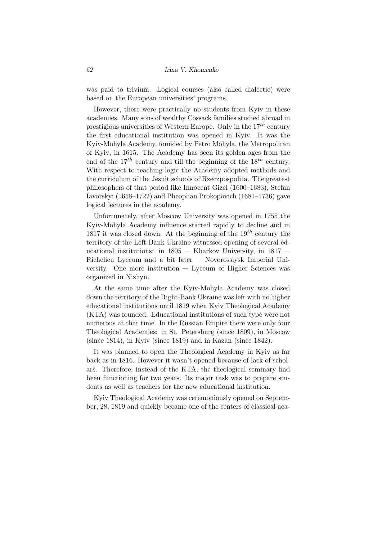was paid to trivium. Logical courses (also called dialectic) were based on the European universities' programs.

However, there were practically no students from Kyiv in these academies. Many sons of wealthy Cossack families studied abroad in prestigious universities of Western Europe. Only in the 17*th* century the first educational institution was opened in Kyiv. It was the Kyiv-Mohyla Academy, founded by Petro Mohyla, the Metropolitan of Kyiv, in 1615. The Academy has seen its golden ages from the end of the 17*th* century and till the beginning of the 18*th* century. With respect to teaching logic the Academy adopted methods and the curriculum of the Jesuit schools of Rzeczpospolita. The greatest philosophers of that period like Innocent Gizel (1600–1683), Stefan Iavorskyi (1658–1722) and Pheophan Prokopovich (1681–1736) gave logical lectures in the academy.

Unfortunately, after Moscow University was opened in 1755 the Kyiv-Mohyla Academy influence started rapidly to decline and in 1817 it was closed down. At the beginning of the 19*th* century the territory of the Left-Bank Ukraine witnessed opening of several educational institutions: in 1805 — Kharkov University, in 1817 — Richelieu Lyceum and a bit later — Novorossiysk Imperial University. One more institution — Lyceum of Higher Sciences was organized in Nizhyn.

At the same time after the Kyiv-Mohyla Academy was closed down the territory of the Right-Bank Ukraine was left with no higher educational institutions until 1819 when Kyiv Theological Academy (KTA) was founded. Educational institutions of such type were not numerous at that time. In the Russian Empire there were only four Theological Academies: in St. Petersburg (since 1809), in Moscow (since 1814), in Kyiv (since 1819) and in Kazan (since 1842).

It was planned to open the Theological Academy in Kyiv as far back as in 1816. However it wasn't opened because of lack of scholars. Therefore, instead of the KTA, the theological seminary had been functioning for two years. Its major task was to prepare students as well as teachers for the new educational institution.

Kyiv Theological Academy was ceremoniously opened on September, 28, 1819 and quickly became one of the centers of classical aca-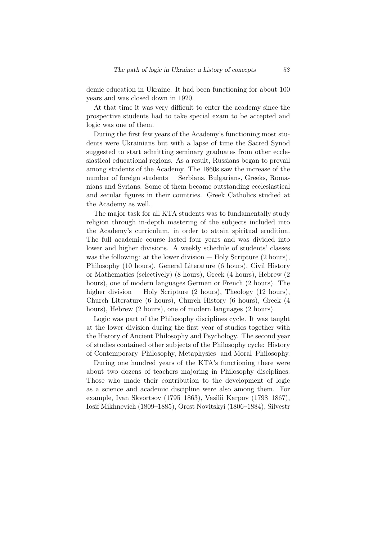demic education in Ukraine. It had been functioning for about 100 years and was closed down in 1920.

At that time it was very difficult to enter the academy since the prospective students had to take special exam to be accepted and logic was one of them.

During the first few years of the Academy's functioning most students were Ukrainians but with a lapse of time the Sacred Synod suggested to start admitting seminary graduates from other ecclesiastical educational regions. As a result, Russians began to prevail among students of the Academy. The 1860s saw the increase of the number of foreign students — Serbians, Bulgarians, Greeks, Romanians and Syrians. Some of them became outstanding ecclesiastical and secular figures in their countries. Greek Catholics studied at the Academy as well.

The major task for all KTA students was to fundamentally study religion through in-depth mastering of the subjects included into the Academy's curriculum, in order to attain spiritual erudition. The full academic course lasted four years and was divided into lower and higher divisions. A weekly schedule of students' classes was the following: at the lower division — Holy Scripture (2 hours). Philosophy (10 hours), General Literature (6 hours), Civil History or Mathematics (selectively) (8 hours), Greek (4 hours), Hebrew (2 hours), one of modern languages German or French (2 hours). The higher division  $-$  Holy Scripture (2 hours), Theology (12 hours), Church Literature (6 hours), Church History (6 hours), Greek (4 hours), Hebrew  $(2 \text{ hours})$ , one of modern languages  $(2 \text{ hours})$ .

Logic was part of the Philosophy disciplines cycle. It was taught at the lower division during the first year of studies together with the History of Ancient Philosophy and Psychology. The second year of studies contained other subjects of the Philosophy cycle: History of Contemporary Philosophy, Metaphysics and Moral Philosophy.

During one hundred years of the KTA's functioning there were about two dozens of teachers majoring in Philosophy disciplines. Those who made their contribution to the development of logic as a science and academic discipline were also among them. For example, Ivan Skvortsov (1795–1863), Vasilii Karpov (1798–1867), Iosif Mikhnevich (1809–1885), Orest Novitskyi (1806–1884), Silvestr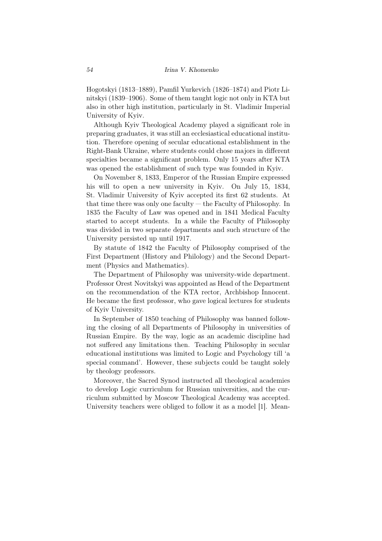Hogotskyi (1813–1889), Pamfil Yurkevich (1826–1874) and Piotr Linitskyi (1839–1906). Some of them taught logic not only in KTA but also in other high institution, particularly in St. Vladimir Imperial University of Kyiv.

Although Kyiv Theological Academy played a significant role in preparing graduates, it was still an ecclesiastical educational institution. Therefore opening of secular educational establishment in the Right-Bank Ukraine, where students could chose majors in different specialties became a significant problem. Only 15 years after KTA was opened the establishment of such type was founded in Kyiv.

On November 8, 1833, Emperor of the Russian Empire expressed his will to open a new university in Kyiv. On July 15, 1834, St. Vladimir University of Kyiv accepted its first 62 students. At that time there was only one faculty — the Faculty of Philosophy. In 1835 the Faculty of Law was opened and in 1841 Medical Faculty started to accept students. In a while the Faculty of Philosophy was divided in two separate departments and such structure of the University persisted up until 1917.

By statute of 1842 the Faculty of Philosophy comprised of the First Department (History and Philology) and the Second Department (Physics and Mathematics).

The Department of Philosophy was university-wide department. Professor Orest Novitskyi was appointed as Head of the Department on the recommendation of the KTA rector, Archbishop Innocent. He became the first professor, who gave logical lectures for students of Kyiv University.

In September of 1850 teaching of Philosophy was banned following the closing of all Departments of Philosophy in universities of Russian Empire. By the way, logic as an academic discipline had not suffered any limitations then. Teaching Philosophy in secular educational institutions was limited to Logic and Psychology till 'a special command'. However, these subjects could be taught solely by theology professors.

Moreover, the Sacred Synod instructed all theological academies to develop Logic curriculum for Russian universities, and the curriculum submitted by Moscow Theological Academy was accepted. University teachers were obliged to follow it as a model [1]. Mean-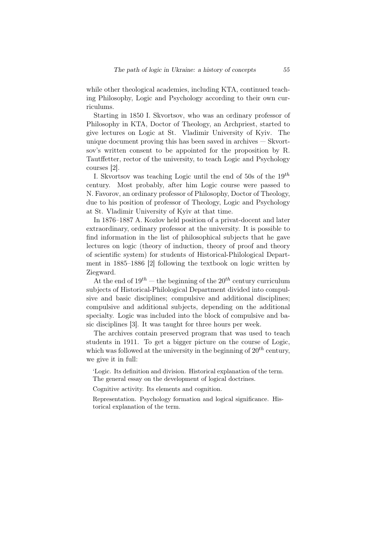while other theological academies, including KTA, continued teaching Philosophy, Logic and Psychology according to their own curriculums.

Starting in 1850 I. Skvortsov, who was an ordinary professor of Philosophy in KTA, Doctor of Theology, an Archpriest, started to give lectures on Logic at St. Vladimir University of Kyiv. The unique document proving this has been saved in archives — Skvortsov's written consent to be appointed for the proposition by R. Tautffetter, rector of the university, to teach Logic and Psychology courses [2].

I. Skvortsov was teaching Logic until the end of 50s of the 19*th* century. Most probably, after him Logic course were passed to N. Favorov, an ordinary professor of Philosophy, Doctor of Theology, due to his position of professor of Theology, Logic and Psychology at St. Vladimir University of Kyiv at that time.

In 1876–1887 A. Kozlov held position of a privat-docent and later extraordinary, ordinary professor at the university. It is possible to find information in the list of philosophical subjects that he gave lectures on logic (theory of induction, theory of proof and theory of scientific system) for students of Historical-Philological Department in 1885–1886 [2] following the textbook on logic written by Ziegward.

At the end of  $19^{th}$  — the beginning of the  $20^{th}$  century curriculum subjects of Historical-Philological Department divided into compulsive and basic disciplines; compulsive and additional disciplines; compulsive and additional subjects, depending on the additional specialty. Logic was included into the block of compulsive and basic disciplines [3]. It was taught for three hours per week.

The archives contain preserved program that was used to teach students in 1911. To get a bigger picture on the course of Logic, which was followed at the university in the beginning of 20*th* century, we give it in full:

'Logic. Its definition and division. Historical explanation of the term. The general essay on the development of logical doctrines.

Cognitive activity. Its elements and cognition.

Representation. Psychology formation and logical significance. Historical explanation of the term.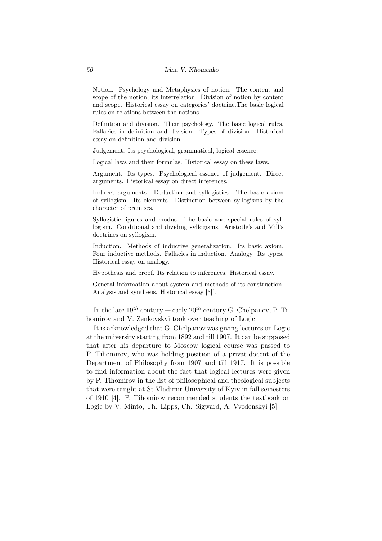Notion. Psychology and Metaphysics of notion. The content and scope of the notion, its interrelation. Division of notion by content and scope. Historical essay on categories' doctrine.The basic logical rules on relations between the notions.

Definition and division. Their psychology. The basic logical rules. Fallacies in definition and division. Types of division. Historical essay on definition and division.

Judgement. Its psychological, grammatical, logical essence.

Logical laws and their formulas. Historical essay on these laws.

Argument. Its types. Psychological essence of judgement. Direct arguments. Historical essay on direct inferences.

Indirect arguments. Deduction and syllogistics. The basic axiom of syllogism. Its elements. Distinction between syllogisms by the character of premises.

Syllogistic figures and modus. The basic and special rules of syllogism. Conditional and dividing syllogisms. Aristotle's and Mill's doctrines on syllogism.

Induction. Methods of inductive generalization. Its basic axiom. Four inductive methods. Fallacies in induction. Analogy. Its types. Historical essay on analogy.

Hypothesis and proof. Its relation to inferences. Historical essay.

General information about system and methods of its construction. Analysis and synthesis. Historical essay [3]'.

In the late  $19^{th}$  century — early  $20^{th}$  century G. Chelpanov, P. Tihomirov and V. Zenkovskyi took over teaching of Logic.

It is acknowledged that G. Chelpanov was giving lectures on Logic at the university starting from 1892 and till 1907. It can be supposed that after his departure to Moscow logical course was passed to P. Tihomirov, who was holding position of a privat-docent of the Department of Philosophy from 1907 and till 1917. It is possible to find information about the fact that logical lectures were given by P. Tihomirov in the list of philosophical and theological subjects that were taught at St.Vladimir University of Kyiv in fall semesters of 1910 [4]. P. Tihomirov recommended students the textbook on Logic by V. Minto, Th. Lipps, Ch. Sigward, A. Vvedenskyi [5].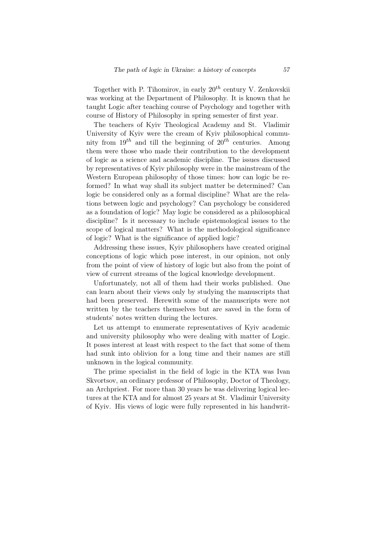Together with P. Tihomirov, in early 20*th* century V. Zenkovskii was working at the Department of Philosophy. It is known that he taught Logic after teaching course of Psychology and together with course of History of Philosophy in spring semester of first year.

The teachers of Kyiv Theological Academy and St. Vladimir University of Kyiv were the cream of Kyiv philosophical community from 19*th* and till the beginning of 20*th* centuries. Among them were those who made their contribution to the development of logic as a science and academic discipline. The issues discussed by representatives of Kyiv philosophy were in the mainstream of the Western European philosophy of those times: how can logic be reformed? In what way shall its subject matter be determined? Can logic be considered only as a formal discipline? What are the relations between logic and psychology? Can psychology be considered as a foundation of logic? May logic be considered as a philosophical discipline? Is it necessary to include epistemological issues to the scope of logical matters? What is the methodological significance of logic? What is the significance of applied logic?

Addressing these issues, Kyiv philosophers have created original conceptions of logic which pose interest, in our opinion, not only from the point of view of history of logic but also from the point of view of current streams of the logical knowledge development.

Unfortunately, not all of them had their works published. One can learn about their views only by studying the manuscripts that had been preserved. Herewith some of the manuscripts were not written by the teachers themselves but are saved in the form of students' notes written during the lectures.

Let us attempt to enumerate representatives of Kyiv academic and university philosophy who were dealing with matter of Logic. It poses interest at least with respect to the fact that some of them had sunk into oblivion for a long time and their names are still unknown in the logical community.

The prime specialist in the field of logic in the KTA was Ivan Skvortsov, an ordinary professor of Philosophy, Doctor of Theology, an Archpriest. For more than 30 years he was delivering logical lectures at the KTA and for almost 25 years at St. Vladimir University of Kyiv. His views of logic were fully represented in his handwrit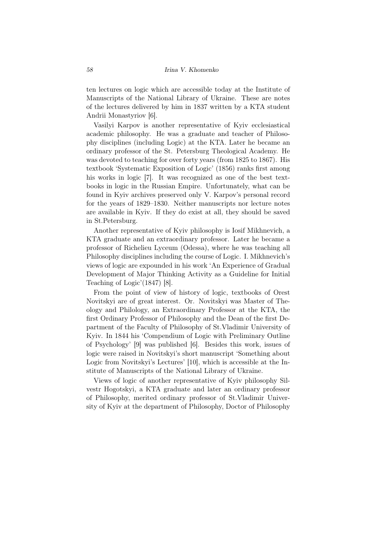ten lectures on logic which are accessible today at the Institute of Manuscripts of the National Library of Ukraine. These are notes of the lectures delivered by him in 1837 written by a KTA student Andrii Monastyriov [6].

Vasilyi Karpov is another representative of Kyiv ecclesiastical academic philosophy. He was a graduate and teacher of Philosophy disciplines (including Logic) at the KTA. Later he became an ordinary professor of the St. Petersburg Theological Academy. He was devoted to teaching for over forty years (from 1825 to 1867). His textbook 'Systematic Exposition of Logic' (1856) ranks first among his works in logic [7]. It was recognized as one of the best textbooks in logic in the Russian Empire. Unfortunately, what can be found in Kyiv archives preserved only V. Karpov's personal record for the years of 1829–1830. Neither manuscripts nor lecture notes are available in Kyiv. If they do exist at all, they should be saved in St.Petersburg.

Another representative of Kyiv philosophy is Iosif Mikhnevich, a KTA graduate and an extraordinary professor. Later he became a professor of Richelieu Lyceum (Odessa), where he was teaching all Philosophy disciplines including the course of Logic. I. Mikhnevich's views of logic are expounded in his work 'An Experience of Gradual Development of Major Thinking Activity as a Guideline for Initial Teaching of Logic'(1847) [8].

From the point of view of history of logic, textbooks of Orest Novitskyi are of great interest. Or. Novitskyi was Master of Theology and Philology, an Extraordinary Professor at the KTA, the first Ordinary Professor of Philosophy and the Dean of the first Department of the Faculty of Philosophy of St.Vladimir University of Kyiv. In 1844 his 'Compendium of Logic with Preliminary Outline of Psychology' [9] was published [6]. Besides this work, issues of logic were raised in Novitskyi's short manuscript 'Something about Logic from Novitskyi's Lectures' [10], which is accessible at the Institute of Manuscripts of the National Library of Ukraine.

Views of logic of another representative of Kyiv philosophy Silvestr Hogotskyi, a KTA graduate and later an ordinary professor of Philosophy, merited ordinary professor of St.Vladimir University of Kyiv at the department of Philosophy, Doctor of Philosophy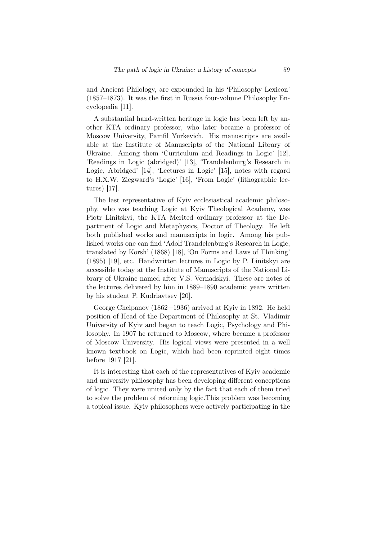and Ancient Philology, are expounded in his 'Philosophy Lexicon' (1857–1873). It was the first in Russia four-volume Philosophy Encyclopedia [11].

A substantial hand-written heritage in logic has been left by another KTA ordinary professor, who later became a professor of Moscow University, Pamfil Yurkevich. His manuscripts are available at the Institute of Manuscripts of the National Library of Ukraine. Among them 'Curriculum and Readings in Logic' [12], 'Readings in Logic (abridged)' [13], 'Trandelenburg's Research in Logic, Abridged' [14], 'Lectures in Logic' [15], notes with regard to H.Х.W. Ziegward's 'Logic' [16], 'From Logic' (lithographic lectures) [17].

The last representative of Kyiv ecclesiastical academic philosophy, who was teaching Logic at Kyiv Theological Academy, was Piotr Linitskyi, the KTA Merited ordinary professor at the Department of Logic and Metaphysics, Doctor of Theology. He left both published works and manuscripts in logic. Among his published works one can find 'Adolf Trandelenburg's Research in Logic, translated by Korsh' (1868) [18], 'On Forms and Laws of Thinking' (1895) [19], etc. Handwritten lectures in Logic by P. Linitskyi are accessible today at the Institute of Manuscripts of the National Library of Ukraine named after V.S. Vernadskyi. These are notes of the lectures delivered by him in 1889–1890 academic years written by his student P. Kudriavtsev [20].

George Chelpanov (1862—1936) arrived at Kyiv in 1892. He held position of Head of the Department of Philosophy at St. Vladimir University of Kyiv and began to teach Logic, Psychology and Philosophy. In 1907 he returned to Moscow, where became a professor of Moscow University. His logical views were presented in a well known textbook on Logic, which had been reprinted eight times before 1917 [21].

It is interesting that each of the representatives of Kyiv academic and university philosophy has been developing different conceptions of logic. They were united only by the fact that each of them tried to solve the problem of reforming logic.This problem was becoming a topical issue. Kyiv philosophers were actively participating in the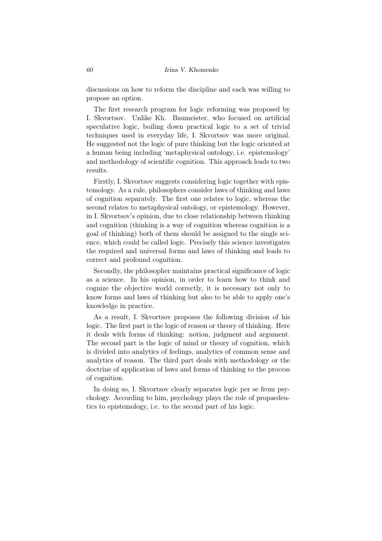discussions on how to reform the discipline and each was willing to propose an option.

The first research program for logic reforming was proposed by I. Skvortsov. Unlike Kh. Baumeister, who focused on artificial speculative logic, boiling down practical logic to a set of trivial techniques used in everyday life, I. Skvortsov was more original. He suggested not the logic of pure thinking but the logic oriented at a human being including 'metaphysical ontology, i.e. epistemology' and methodology of scientific cognition. This approach leads to two results.

Firstly, I. Skvortsov suggests considering logic together with epistemology. As a rule, philosophers consider laws of thinking and laws of cognition separately. The first one relates to logic, whereas the second relates to metaphysical ontology, or epistemology. However, in I. Skvortsov's opinion, due to close relationship between thinking and cognition (thinking is a way of cognition whereas cognition is a goal of thinking) both of them should be assigned to the single science, which could be called logic. Precisely this science investigates the required and universal forms and laws of thinking and leads to correct and profound cognition.

Secondly, the philosopher maintains practical significance of logic as a science. In his opinion, in order to learn how to think and cognize the objective world correctly, it is necessary not only to know forms and laws of thinking but also to be able to apply one's knowledge in practice.

As a result, I. Skvortsov proposes the following division of his logic. The first part is the logic of reason or theory of thinking. Here it deals with forms of thinking: notion, judgment and argument. The second part is the logic of mind or theory of cognition, which is divided into analytics of feelings, analytics of common sense and analytics of reason. The third part deals with methodology or the doctrine of application of laws and forms of thinking to the process of cognition.

In doing so, I. Skvortsov clearly separates logic per se from psychology. According to him, psychology plays the role of propaedeutics to epistemology, i.e. to the second part of his logic.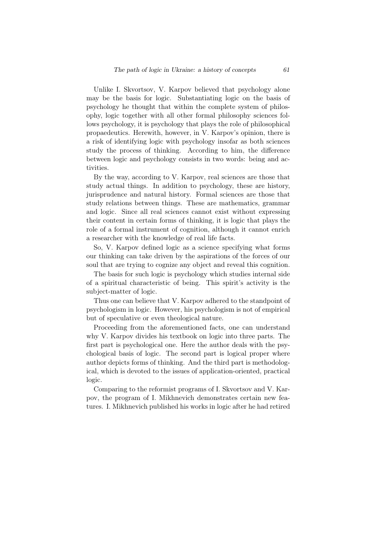Unlike I. Skvortsov, V. Karpov believed that psychology alone may be the basis for logic. Substantiating logic on the basis of psychology he thought that within the complete system of philosophy, logic together with all other formal philosophy sciences follows psychology, it is psychology that plays the role of philosophical propaedeutics. Herewith, however, in V. Karpov's opinion, there is a risk of identifying logic with psychology insofar as both sciences study the process of thinking. According to him, the difference between logic and psychology consists in two words: being and activities.

By the way, according to V. Karpov, real sciences are those that study actual things. In addition to psychology, these are history, jurisprudence and natural history. Formal sciences are those that study relations between things. These are mathematics, grammar and logic. Since all real sciences cannot exist without expressing their content in certain forms of thinking, it is logic that plays the role of a formal instrument of cognition, although it cannot enrich a researcher with the knowledge of real life facts.

So, V. Karpov defined logic as a science specifying what forms our thinking can take driven by the aspirations of the forces of our soul that are trying to cognize any object and reveal this cognition.

The basis for such logic is psychology which studies internal side of a spiritual characteristic of being. This spirit's activity is the subject-matter of logic.

Thus one can believe that V. Karpov adhered to the standpoint of psychologism in logic. However, his psychologism is not of empirical but of speculative or even theological nature.

Proceeding from the aforementioned facts, one can understand why V. Karpov divides his textbook on logic into three parts. The first part is psychological one. Here the author deals with the psychological basis of logic. The second part is logical proper where author depicts forms of thinking. And the third part is methodological, which is devoted to the issues of application-oriented, practical logic.

Comparing to the reformist programs of I. Skvortsov and V. Karpov, the program of I. Mikhnevich demonstrates certain new features. I. Mikhnevich published his works in logic after he had retired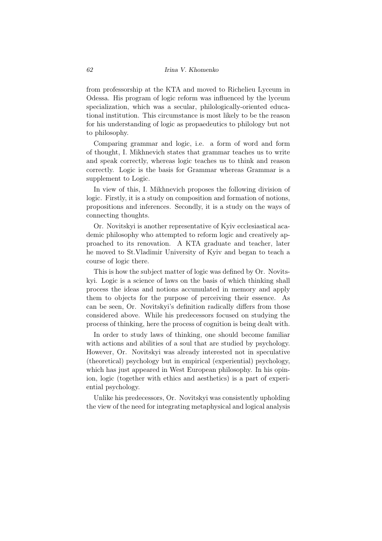from professorship at the KTA and moved to Richelieu Lyceum in Odessa. His program of logic reform was influenced by the lyceum specialization, which was a secular, philologically-oriented educational institution. This circumstance is most likely to be the reason for his understanding of logic as propaedeutics to philology but not to philosophy.

Comparing grammar and logic, i.e. a form of word and form of thought, I. Mikhnevich states that grammar teaches us to write and speak correctly, whereas logic teaches us to think and reason correctly. Logic is the basis for Grammar whereas Grammar is a supplement to Logic.

In view of this, I. Mikhnevich proposes the following division of logic. Firstly, it is a study on composition and formation of notions, propositions and inferences. Secondly, it is a study on the ways of connecting thoughts.

Or. Novitskyi is another representative of Kyiv ecclesiastical academic philosophy who attempted to reform logic and creatively approached to its renovation. A KTA graduate and teacher, later he moved to St.Vladimir University of Kyiv and began to teach a course of logic there.

This is how the subject matter of logic was defined by Or. Novitskyi. Logic is a science of laws on the basis of which thinking shall process the ideas and notions accumulated in memory and apply them to objects for the purpose of perceiving their essence. As can be seen, Or. Novitskyi's definition radically differs from those considered above. While his predecessors focused on studying the process of thinking, here the process of cognition is being dealt with.

In order to study laws of thinking, one should become familiar with actions and abilities of a soul that are studied by psychology. However, Or. Novitskyi was already interested not in speculative (theoretical) psychology but in empirical (experiential) psychology, which has just appeared in West European philosophy. In his opinion, logic (together with ethics and aesthetics) is a part of experiential psychology.

Unlike his predecessors, Or. Novitskyi was consistently upholding the view of the need for integrating metaphysical and logical analysis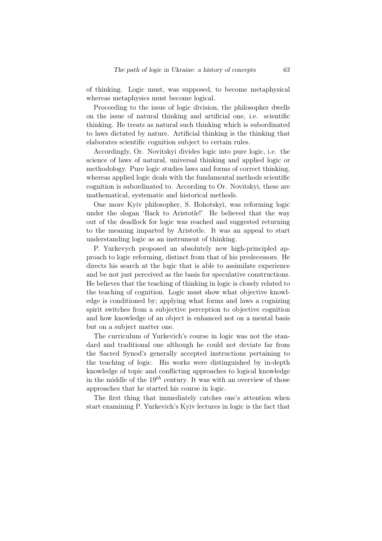of thinking. Logic must, was supposed, to become metaphysical whereas metaphysics must become logical.

Proceeding to the issue of logic division, the philosopher dwells on the issue of natural thinking and artificial one, i.e. scientific thinking. He treats as natural such thinking which is subordinated to laws dictated by nature. Artificial thinking is the thinking that elaborates scientific cognition subject to certain rules.

Accordingly, Or. Novitskyi divides logic into pure logic, i.e. the science of laws of natural, universal thinking and applied logic or methodology. Pure logic studies laws and forms of correct thinking, whereas applied logic deals with the fundamental methods scientific cognition is subordinated to. According to Or. Novitskyi, these are mathematical, systematic and historical methods.

One more Kyiv philosopher, S. Hohotskyi, was reforming logic under the slogan 'Back to Aristotle!' He believed that the way out of the deadlock for logic was reached and suggested returning to the meaning imparted by Aristotle. It was an appeal to start understanding logic as an instrument of thinking.

P. Yurkevych proposed an absolutely new high-principled approach to logic reforming, distinct from that of his predecessors. He directs his search at the logic that is able to assimilate experience and be not just perceived as the basis for speculative constructions. He believes that the teaching of thinking in logic is closely related to the teaching of cognition. Logic must show what objective knowledge is conditioned by; applying what forms and laws a cognizing spirit switches from a subjective perception to objective cognition and how knowledge of an object is enhanced not on a mental basis but on a subject matter one.

The curriculum of Yurkevich's course in logic was not the standard and traditional one although he could not deviate far from the Sacred Synod's generally accepted instructions pertaining to the teaching of logic. His works were distinguished by in-depth knowledge of topic and conflicting approaches to logical knowledge in the middle of the  $19^{th}$  century. It was with an overview of those approaches that he started his course in logic.

The first thing that immediately catches one's attention when start examining P. Yurkevich's Kyiv lectures in logic is the fact that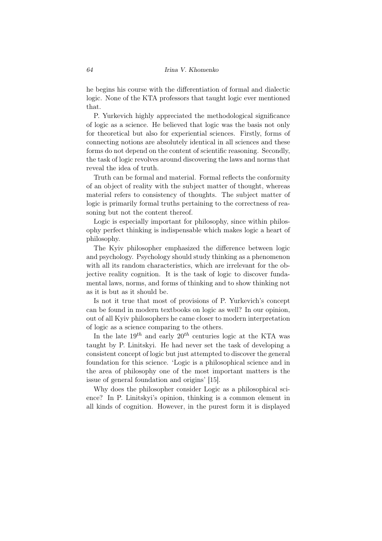he begins his course with the differentiation of formal and dialectic logic. None of the KTA professors that taught logic ever mentioned that.

P. Yurkevich highly appreciated the methodological significance of logic as a science. He believed that logic was the basis not only for theoretical but also for experiential sciences. Firstly, forms of connecting notions are absolutely identical in all sciences and these forms do not depend on the content of scientific reasoning. Secondly, the task of logic revolves around discovering the laws and norms that reveal the idea of truth.

Truth can be formal and material. Formal reflects the conformity of an object of reality with the subject matter of thought, whereas material refers to consistency of thoughts. The subject matter of logic is primarily formal truths pertaining to the correctness of reasoning but not the content thereof.

Logic is especially important for philosophy, since within philosophy perfect thinking is indispensable which makes logic a heart of philosophy.

The Kyiv philosopher emphasized the difference between logic and psychology. Psychology should study thinking as a phenomenon with all its random characteristics, which are irrelevant for the objective reality cognition. It is the task of logic to discover fundamental laws, norms, and forms of thinking and to show thinking not as it is but as it should be.

Is not it true that most of provisions of P. Yurkevich's concept can be found in modern textbooks on logic as well? In our opinion, out of all Kyiv philosophers he came closer to modern interpretation of logic as a science comparing to the others.

In the late  $19^{th}$  and early  $20^{th}$  centuries logic at the KTA was taught by P. Linitskyi. He had never set the task of developing a consistent concept of logic but just attempted to discover the general foundation for this science. 'Logic is a philosophical science and in the area of philosophy one of the most important matters is the issue of general foundation and origins' [15].

Why does the philosopher consider Logic as a philosophical science? In P. Linitskyi's opinion, thinking is a common element in all kinds of cognition. However, in the purest form it is displayed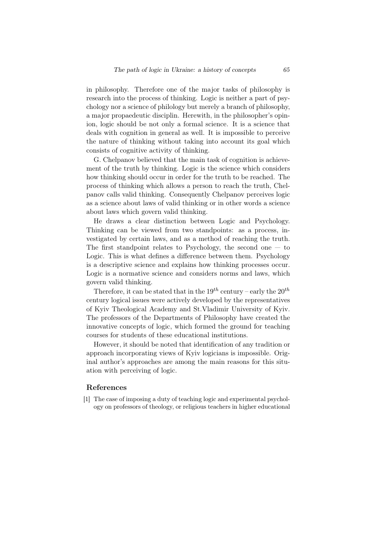in philosophy. Therefore one of the major tasks of philosophy is research into the process of thinking. Logic is neither a part of psychology nor a science of philology but merely a branch of philosophy, a major propaedeutic disciplin. Herewith, in the philosopher's opinion, logic should be not only a formal science. It is a science that deals with cognition in general as well. It is impossible to perceive the nature of thinking without taking into account its goal which consists of cognitive activity of thinking.

G. Chelpanov believed that the main task of cognition is achievement of the truth by thinking. Logic is the science which considers how thinking should occur in order for the truth to be reached. The process of thinking which allows a person to reach the truth, Chelpanov calls valid thinking. Consequently Chelpanov perceives logic as a science about laws of valid thinking or in other words a science about laws which govern valid thinking.

He draws a clear distinction between Logic and Psychology. Thinking can be viewed from two standpoints: as a process, investigated by certain laws, and as a method of reaching the truth. The first standpoint relates to Psychology, the second one  $-$  to Logic. This is what defines a difference between them. Psychology is a descriptive science and explains how thinking processes occur. Logic is a normative science and considers norms and laws, which govern valid thinking.

Therefore, it can be stated that in the  $19^{th}$  century – early the  $20^{th}$ century logical issues were actively developed by the representatives of Kyiv Theological Academy and St.Vladimir University of Kyiv. The professors of the Departments of Philosophy have created the innovative concepts of logic, which formed the ground for teaching courses for students of these educational institutions.

However, it should be noted that identification of any tradition or approach incorporating views of Kyiv logicians is impossible. Original author's approaches are among the main reasons for this situation with perceiving of logic.

## References

[1] The case of imposing a duty of teaching logic and experimental psychology on professors of theology, or religious teachers in higher educational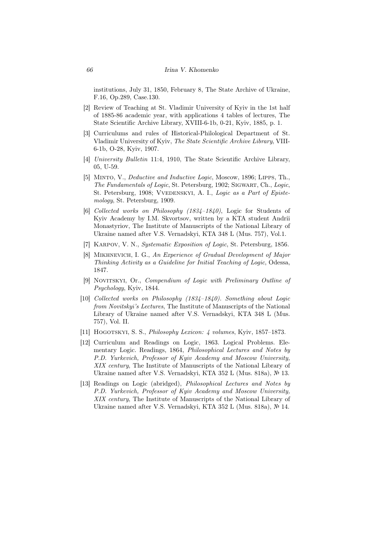institutions, July 31, 1850, February 8, The State Archive of Ukraine, F.16, Op.289, Case.130.

- [2] Review of Teaching at St. Vladimir University of Kyiv in the 1st half of 1885-86 academic year, with applications 4 tables of lectures, The State Scientific Archive Library, XVIII-6-1b, 0-21, Кyiv, 1885, p. 1.
- [3] Curriculums and rules of Historical-Philological Department of St. Vladimir University of Kyiv, *The State Scientific Archive Library*, VIII-6-1b, О-28, Kyiv, 1907.
- [4] *University Bulletin* 11:4, 1910, The State Scientific Archive Library, 05, U-59.
- [5] Minto, V., *Deductive and Inductive Logic*, Moscow, 1896; Lipps, Th., *The Fundamentals of Logic*, St. Petersburg, 1902; Sigwart, Ch., *Logic*, St. Petersburg, 1908; Vvedenskyi, A. I., *Logic as a Part of Epistemology*, St. Petersburg, 1909.
- [6] *Collected works on Philosophy (1834–1840)*, Logic for Students of Kyiv Academy by I.M. Skvortsov, written by a KTA student Andrii Monastyriov, The Institute of Manuscripts of the National Library of Ukraine named after V.S. Vernadskyi, KTA 348 L (Mus. 757), Vol.1.
- [7] Karpov, V. N., *Systematic Exposition of Logic*, St. Petersburg, 1856.
- [8] Mikhnevich, I. G., *An Experience of Gradual Development of Major Thinking Activity as a Guideline for Initial Teaching of Logic*, Odessa, 1847.
- [9] Novitskyi, Or., *Compendium of Logic with Preliminary Outline of Psychology*, Кyiv, 1844.
- [10] *Collected works on Philosophy (1834–1840). Something about Logic from Novitskyi's Lectures*, The Institute of Manuscripts of the National Library of Ukraine named after V.S. Vernadskyi, KTA 348 L (Mus. 757), Vol. II.
- [11] Hogotskyi, S. S., *Philosophy Lexicon: 4 volumes*, Kyiv, 1857–1873.
- [12] Curriculum and Readings on Logic, 1863. Logical Problems. Elementary Logic. Readings, 1864, *Philosophical Lectures and Notes by P.D. Yurkevich, Professor of Кyiv Academy and Moscow University, XIX century*, The Institute of Manuscripts of the National Library of Ukraine named after V.S. Vernadskyi, KTA 352 L (Mus. 818a), № 13.
- [13] Readings on Logic (abridged), *Philosophical Lectures and Notes by P.D. Yurkevich, Professor of Кyiv Academy and Moscow University, XIX century*, The Institute of Manuscripts of the National Library of Ukraine named after V.S. Vernadskyi, KTA 352 L (Mus. 818a), № 14.